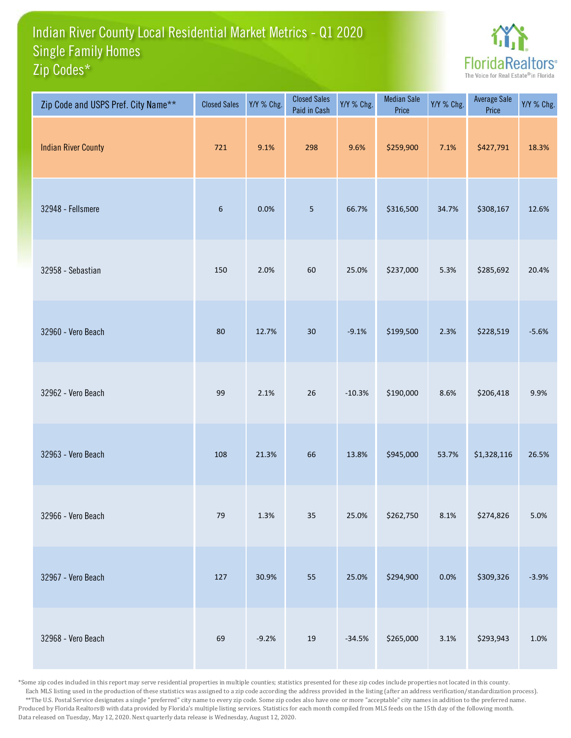## Indian River County Local Residential Market Metrics - Q1 2020 Zip Codes\* Single Family Homes



| Zip Code and USPS Pref. City Name** | <b>Closed Sales</b> | Y/Y % Chg. | <b>Closed Sales</b><br>Paid in Cash | Y/Y % Chg. | <b>Median Sale</b><br>Price | Y/Y % Chg. | Average Sale<br>Price | Y/Y % Chg. |
|-------------------------------------|---------------------|------------|-------------------------------------|------------|-----------------------------|------------|-----------------------|------------|
| <b>Indian River County</b>          | 721                 | 9.1%       | 298                                 | 9.6%       | \$259,900                   | 7.1%       | \$427,791             | 18.3%      |
| 32948 - Fellsmere                   | $\boldsymbol{6}$    | 0.0%       | $\overline{5}$                      | 66.7%      | \$316,500                   | 34.7%      | \$308,167             | 12.6%      |
| 32958 - Sebastian                   | 150                 | 2.0%       | 60                                  | 25.0%      | \$237,000                   | 5.3%       | \$285,692             | 20.4%      |
| 32960 - Vero Beach                  | 80                  | 12.7%      | 30                                  | $-9.1%$    | \$199,500                   | 2.3%       | \$228,519             | $-5.6%$    |
| 32962 - Vero Beach                  | 99                  | 2.1%       | 26                                  | $-10.3%$   | \$190,000                   | 8.6%       | \$206,418             | 9.9%       |
| 32963 - Vero Beach                  | 108                 | 21.3%      | 66                                  | 13.8%      | \$945,000                   | 53.7%      | \$1,328,116           | 26.5%      |
| 32966 - Vero Beach                  | 79                  | $1.3\%$    | 35                                  | 25.0%      | \$262,750                   | 8.1%       | \$274,826             | 5.0%       |
| 32967 - Vero Beach                  | 127                 | 30.9%      | 55                                  | 25.0%      | \$294,900                   | 0.0%       | \$309,326             | $-3.9%$    |
| 32968 - Vero Beach                  | 69                  | $-9.2%$    | 19                                  | $-34.5%$   | \$265,000                   | $3.1\%$    | \$293,943             | $1.0\%$    |

\*Some zip codes included in this report may serve residential properties in multiple counties; statistics presented for these zip codes include properties not located in this county. Each MLS listing used in the production of these statistics was assigned to a zip code according the address provided in the listing (after an address verification/standardization process). \*\*The U.S. Postal Service designates a single "preferred" city name to every zip code. Some zip codes also have one or more "acceptable" city names in addition to the preferred name. Produced by Florida Realtors® with data provided by Florida's multiple listing services. Statistics for each month compiled from MLS feeds on the 15th day of the following month. Data released on Tuesday, May 12, 2020. Next quarterly data release is Wednesday, August 12, 2020.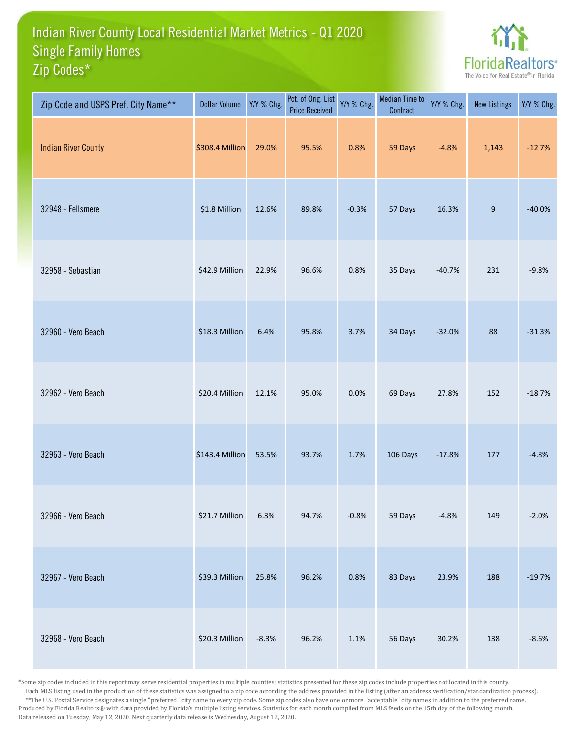## Indian River County Local Residential Market Metrics - Q1 2020 Zip Codes\* Single Family Homes



| Zip Code and USPS Pref. City Name** | <b>Dollar Volume</b> | Y/Y % Chg. | Pct. of Orig. List<br><b>Price Received</b> | Y/Y % Chg. | <b>Median Time to</b><br>Contract | Y/Y % Chg. | <b>New Listings</b> | Y/Y % Chg. |
|-------------------------------------|----------------------|------------|---------------------------------------------|------------|-----------------------------------|------------|---------------------|------------|
| <b>Indian River County</b>          | \$308.4 Million      | 29.0%      | 95.5%                                       | 0.8%       | 59 Days                           | $-4.8%$    | 1,143               | $-12.7%$   |
| 32948 - Fellsmere                   | \$1.8 Million        | 12.6%      | 89.8%                                       | $-0.3%$    | 57 Days                           | 16.3%      | 9                   | $-40.0%$   |
| 32958 - Sebastian                   | \$42.9 Million       | 22.9%      | 96.6%                                       | 0.8%       | 35 Days                           | $-40.7%$   | 231                 | $-9.8%$    |
| 32960 - Vero Beach                  | \$18.3 Million       | 6.4%       | 95.8%                                       | 3.7%       | 34 Days                           | $-32.0%$   | 88                  | $-31.3%$   |
| 32962 - Vero Beach                  | \$20.4 Million       | 12.1%      | 95.0%                                       | 0.0%       | 69 Days                           | 27.8%      | 152                 | $-18.7%$   |
| 32963 - Vero Beach                  | \$143.4 Million      | 53.5%      | 93.7%                                       | 1.7%       | 106 Days                          | $-17.8%$   | 177                 | $-4.8%$    |
| 32966 - Vero Beach                  | \$21.7 Million       | 6.3%       | 94.7%                                       | $-0.8%$    | 59 Days                           | $-4.8%$    | 149                 | $-2.0%$    |
| 32967 - Vero Beach                  | \$39.3 Million       | 25.8%      | 96.2%                                       | 0.8%       | 83 Days                           | 23.9%      | 188                 | $-19.7%$   |
| 32968 - Vero Beach                  | \$20.3 Million       | $-8.3%$    | 96.2%                                       | $1.1\%$    | 56 Days                           | 30.2%      | 138                 | $-8.6%$    |

\*Some zip codes included in this report may serve residential properties in multiple counties; statistics presented for these zip codes include properties not located in this county. Each MLS listing used in the production of these statistics was assigned to a zip code according the address provided in the listing (after an address verification/standardization process). \*\*The U.S. Postal Service designates a single "preferred" city name to every zip code. Some zip codes also have one or more "acceptable" city names in addition to the preferred name. Produced by Florida Realtors® with data provided by Florida's multiple listing services. Statistics for each month compiled from MLS feeds on the 15th day of the following month. Data released on Tuesday, May 12, 2020. Next quarterly data release is Wednesday, August 12, 2020.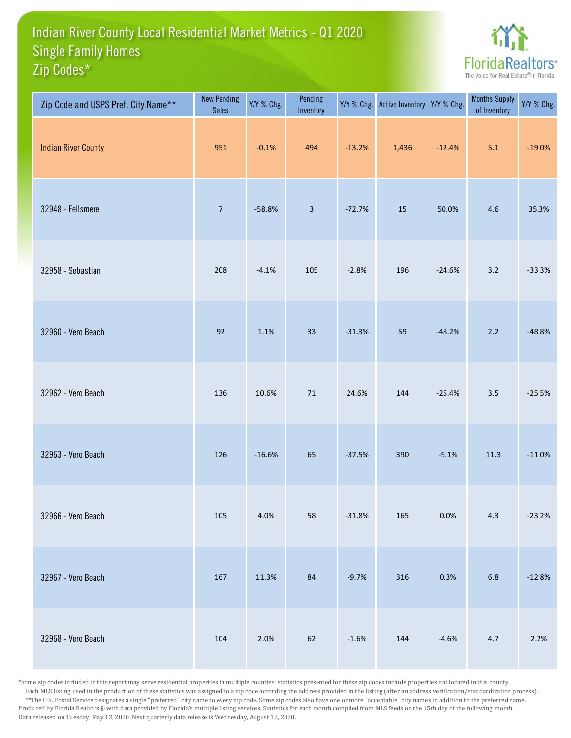## Indian River County Local Residential Market Metrics - Q1 2020 Zip Codes\* Single Family Homes



| Zip Code and USPS Pref. City Name** | <b>New Pending</b><br><b>Sales</b> | Y/Y % Chg. | Pending<br>Inventory      | Y/Y % Chg. | Active Inventory | Y/Y % Chg. | <b>Months Supply</b><br>of Inventory | Y/Y % Chg. |
|-------------------------------------|------------------------------------|------------|---------------------------|------------|------------------|------------|--------------------------------------|------------|
| <b>Indian River County</b>          | 951                                | $-0.1%$    | 494                       | $-13.2%$   | 1,436            | $-12.4%$   | $5.1\,$                              | $-19.0%$   |
| 32948 - Fellsmere                   | $\sqrt{7}$                         | $-58.8%$   | $\ensuremath{\mathsf{3}}$ | $-72.7%$   | 15               | 50.0%      | $4.6\,$                              | 35.3%      |
| 32958 - Sebastian                   | 208                                | $-4.1%$    | 105                       | $-2.8%$    | 196              | $-24.6%$   | 3.2                                  | $-33.3%$   |
| 32960 - Vero Beach                  | 92                                 | $1.1\%$    | 33                        | $-31.3%$   | 59               | $-48.2%$   | $2.2$                                | $-48.8%$   |
| 32962 - Vero Beach                  | 136                                | 10.6%      | $71\,$                    | 24.6%      | 144              | $-25.4%$   | 3.5                                  | $-25.5%$   |
| 32963 - Vero Beach                  | 126                                | $-16.6%$   | 65                        | $-37.5%$   | 390              | $-9.1%$    | 11.3                                 | $-11.0%$   |
| 32966 - Vero Beach                  | 105                                | 4.0%       | 58                        | $-31.8%$   | 165              | 0.0%       | $4.3$                                | $-23.2%$   |
| 32967 - Vero Beach                  | 167                                | 11.3%      | 84                        | $-9.7%$    | 316              | 0.3%       | 6.8                                  | $-12.8%$   |
| 32968 - Vero Beach                  | 104                                | 2.0%       | 62                        | $-1.6%$    | 144              | $-4.6%$    | $4.7\,$                              | 2.2%       |

\*Some zip codes included in this report may serve residential properties in multiple counties; statistics presented for these zip codes include properties not located in this county. Each MLS listing used in the production of these statistics was assigned to a zip code according the address provided in the listing (after an address verification/standardization process). \*\*The U.S. Postal Service designates a single "preferred" city name to every zip code. Some zip codes also have one or more "acceptable" city names in addition to the preferred name. Produced by Florida Realtors® with data provided by Florida's multiple listing services. Statistics for each month compiled from MLS feeds on the 15th day of the following month. Data released on Tuesday, May 12, 2020. Next quarterly data release is Wednesday, August 12, 2020.